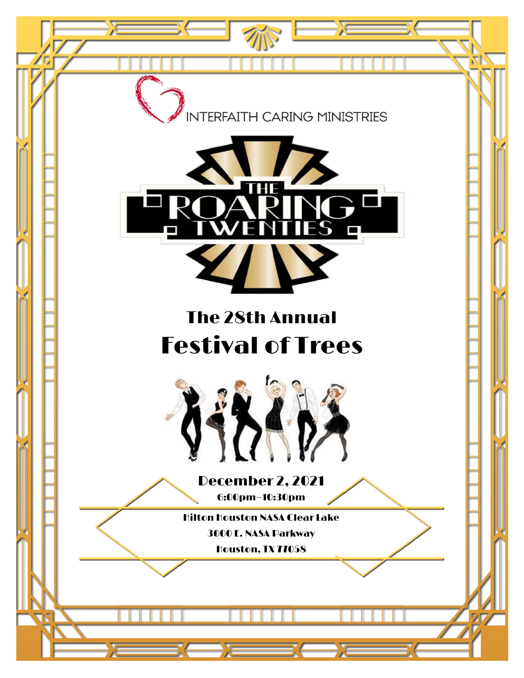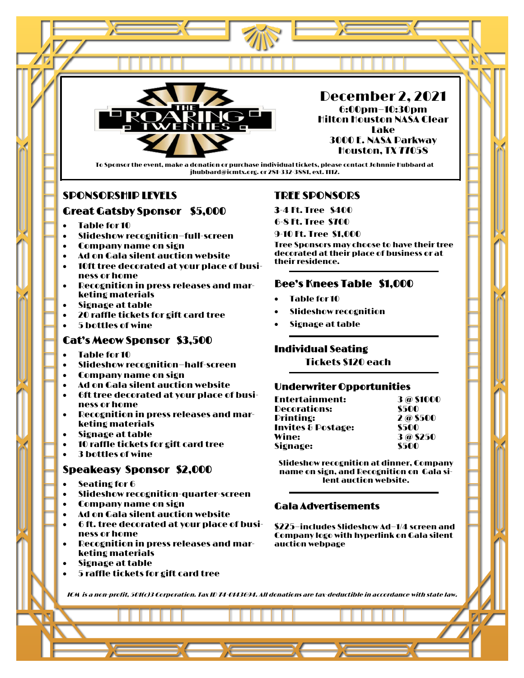

December 2, 2021 6:00pm—10:30pm Hilton Houston NASA Clear Lake 3000 E. NASA Parkway Houston, TX 77058

To Sponsor the event, make a donation or purchase individual tickets, please contact Johnnie Hubbard at jhubbard@icmtx.org. or 281-332-3881, ext. 1112.

## SPONSORSHIP LEVELS

## Great Gatsby Sponsor \$5,000

- Table for 10
- Slideshow recognition—full-screen
- Company name on sign
- Ad on Gala silent auction website
- 10ft tree decorated at your place of business or home
- Recognition in press releases and marketing materials
- Signage at table
- 20 raffle tickets for gift card tree
- 5 bottles of wine

## Cat's Meow Sponsor \$3,500

- Table for 10
- Slideshow recognition—half-screen
- Company name on sign
- Ad on Gala silent auction website
- 6ft tree decorated at your place of business or home
- Recognition in press releases and marketing materials
- Signage at table
- 10 raffle tickets for gift card tree
- 3 bottles of wine

## Speakeasy Sponsor \$2,000

- Seating for 6
- Slideshow recognition-quarter-screen
- Company name on sign
- Ad on Gala silent auction website
- 6 ft. tree decorated at your place of business or home
- Recognition in press releases and marketing materials
- Signage at table
- 5 raffle tickets for gift card tree

#### TREE SPONSORS

3-4 Ft. Tree \$400

6-8 Ft. Tree \$700

9-10 Ft. Tree \$1,000

Tree Sponsors may choose to have their tree decorated at their place of business or at their residence.

# Bee's Knees Table \$1,000

- Table for 10
- Slideshow recognition
- Signage at table

## Individual Seating

Tickets \$120 each

## Underwriter Opportunities

| <b>Entertainment:</b>         | 3 @ \$1000 |  |  |
|-------------------------------|------------|--|--|
| Decorations:                  | \$500      |  |  |
| <b>Printing:</b>              | 2@\$500    |  |  |
| <b>Invites &amp; Postage:</b> | \$500      |  |  |
| Wine:                         | 3@\$250    |  |  |
| Signage:                      | \$500      |  |  |

Slideshow recognition at dinner, Company name on sign, and Recognition on Gala silent auction website.

## Gala Advertisements

\$225—includes Slideshow Ad—1/4 screen and Company logo with hyperlink on Gala silent auction webpage

ICM is a non-profit, 501(c)3 Corporation. Tax ID 74-0143694. All donations are tax-deductible in accordance with state law.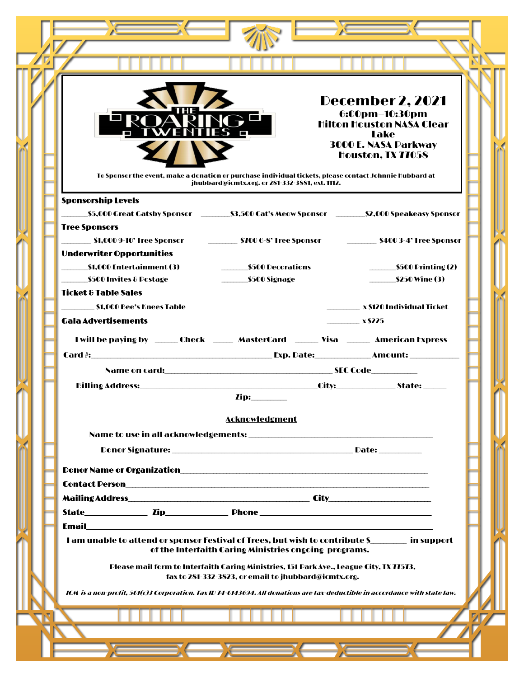|                                                                                                                             |                                                                                                                                                            | <b>December 2, 2021</b><br>6:00pm-10:30pm<br><b>Hilton Houston NASA Clear</b><br>Lake<br><b>3000 E. NASA Parkway</b><br>Houston, TX 77058 |
|-----------------------------------------------------------------------------------------------------------------------------|------------------------------------------------------------------------------------------------------------------------------------------------------------|-------------------------------------------------------------------------------------------------------------------------------------------|
|                                                                                                                             | To Sponsor the event, make a donation or purchase individual tickets, please contact Johnnie Hubbard at<br>jhubbard@icmtx.org. or 281-332-3881, ext. 1112. |                                                                                                                                           |
| <b>Sponsorship Levels</b>                                                                                                   |                                                                                                                                                            |                                                                                                                                           |
| <b>Tree Sponsors</b>                                                                                                        |                                                                                                                                                            | _\$5,000 Great Gatsby Sponsor   __________\$3,500 Cat's Meow Sponsor   _________\$2,000 Speakeasy Sponsor                                 |
| \$1,000 9-10' Tree Sponsor<br><b>Underwriter Opportunities</b>                                                              |                                                                                                                                                            |                                                                                                                                           |
| \$1,000 Entertainment (3)<br>__\$500 Invites & Postage                                                                      |                                                                                                                                                            | \$500 Printing (2)<br><b>\$250 Wine (3)</b>                                                                                               |
| Ticket & Table Sales                                                                                                        |                                                                                                                                                            |                                                                                                                                           |
| \$1,000 Bee's Knees Table<br><b>Gala Advertisements</b>                                                                     |                                                                                                                                                            | _________ x \$120 Individual Ticket<br>$\boldsymbol{\mathsf{x}}$ \$225                                                                    |
|                                                                                                                             | I will be paying by _______ Check _______ MasterCard _______ Visa _______ American Express                                                                 |                                                                                                                                           |
|                                                                                                                             |                                                                                                                                                            |                                                                                                                                           |
|                                                                                                                             |                                                                                                                                                            |                                                                                                                                           |
|                                                                                                                             | $\mathbf{Iip:}\_\_\_\_\_\_\_\$                                                                                                                             |                                                                                                                                           |
|                                                                                                                             | <b>Acknowledgment</b>                                                                                                                                      |                                                                                                                                           |
|                                                                                                                             |                                                                                                                                                            |                                                                                                                                           |
|                                                                                                                             |                                                                                                                                                            |                                                                                                                                           |
|                                                                                                                             |                                                                                                                                                            |                                                                                                                                           |
|                                                                                                                             |                                                                                                                                                            |                                                                                                                                           |
|                                                                                                                             |                                                                                                                                                            |                                                                                                                                           |
| Email 2008 - 2008 - 2010 - 2010 - 2010 - 2010 - 2010 - 2010 - 2010 - 2010 - 2010 - 2010 - 2010 - 2010 - 2010 -              |                                                                                                                                                            |                                                                                                                                           |
| I am unable to attend or sponsor Festival of Trees, but wish to contribute \$___________ in support                         | of the Interfaith Caring Ministries ongoing programs.                                                                                                      |                                                                                                                                           |
|                                                                                                                             | Please mail form to Interfaith Caring Ministries, 151 Park Ave., League City, TX 77573,<br>fax to 281-332-3823, or email to jhubbard@icmtx.org.            |                                                                                                                                           |
| ICM is a non-profit, 501(c)3 Corporation. Tax ID 74-0143694. All donations are tax-deductible in accordance with state law. |                                                                                                                                                            |                                                                                                                                           |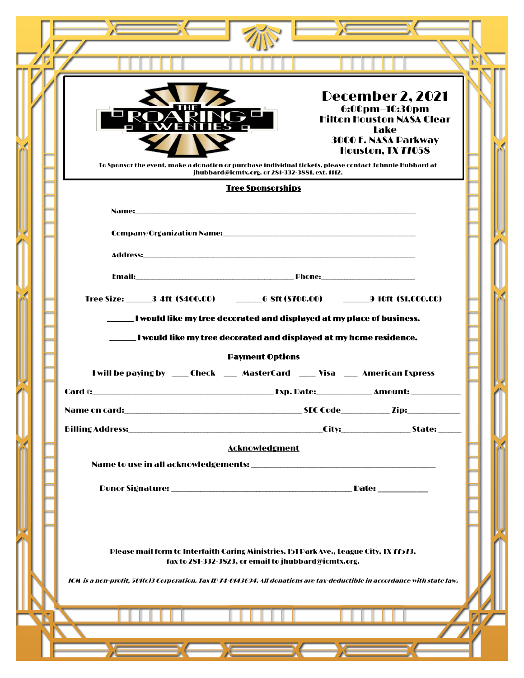|                                                                    | <b>December 2, 2021</b><br>6:00pm-10:30pm<br><b>Hilton Houston NASA Clear</b><br><b>Lake</b><br><b>3000 E. NASA Parkway</b><br>Houston, TX 77058                                                                                                                                                                                                                                                                                                                                |  |  |  |  |
|--------------------------------------------------------------------|---------------------------------------------------------------------------------------------------------------------------------------------------------------------------------------------------------------------------------------------------------------------------------------------------------------------------------------------------------------------------------------------------------------------------------------------------------------------------------|--|--|--|--|
|                                                                    | To Sponsor the event, make a donation or purchase individual tickets, please contact Johnnie Hubbard at<br>jhubbard@icmtx.org. or 281-332-3881, ext. 1112.                                                                                                                                                                                                                                                                                                                      |  |  |  |  |
|                                                                    | <b>Tree Sponsorships</b>                                                                                                                                                                                                                                                                                                                                                                                                                                                        |  |  |  |  |
|                                                                    |                                                                                                                                                                                                                                                                                                                                                                                                                                                                                 |  |  |  |  |
|                                                                    | Company/Organization Name: with a state of the control of the control of the control of the control of the control of the control of the control of the control of the control of the control of the control of the control of                                                                                                                                                                                                                                                  |  |  |  |  |
|                                                                    |                                                                                                                                                                                                                                                                                                                                                                                                                                                                                 |  |  |  |  |
|                                                                    |                                                                                                                                                                                                                                                                                                                                                                                                                                                                                 |  |  |  |  |
|                                                                    |                                                                                                                                                                                                                                                                                                                                                                                                                                                                                 |  |  |  |  |
|                                                                    | I would like my tree decorated and displayed at my place of business.                                                                                                                                                                                                                                                                                                                                                                                                           |  |  |  |  |
| I would like my tree decorated and displayed at my home residence. |                                                                                                                                                                                                                                                                                                                                                                                                                                                                                 |  |  |  |  |
|                                                                    | <b>Payment Options</b><br>I will be paying by _____Check _____ MasterCard _____ Visa ____ American Express                                                                                                                                                                                                                                                                                                                                                                      |  |  |  |  |
|                                                                    | Exp. Date:<br>Card #:<br><b>Example 2</b> Amount:                                                                                                                                                                                                                                                                                                                                                                                                                               |  |  |  |  |
|                                                                    |                                                                                                                                                                                                                                                                                                                                                                                                                                                                                 |  |  |  |  |
|                                                                    |                                                                                                                                                                                                                                                                                                                                                                                                                                                                                 |  |  |  |  |
|                                                                    | <b>Acknowledgment</b>                                                                                                                                                                                                                                                                                                                                                                                                                                                           |  |  |  |  |
|                                                                    |                                                                                                                                                                                                                                                                                                                                                                                                                                                                                 |  |  |  |  |
|                                                                    |                                                                                                                                                                                                                                                                                                                                                                                                                                                                                 |  |  |  |  |
|                                                                    |                                                                                                                                                                                                                                                                                                                                                                                                                                                                                 |  |  |  |  |
|                                                                    | Please mail form to Interfaith Caring Ministries, 151 Park Ave., League City, TX 77573,                                                                                                                                                                                                                                                                                                                                                                                         |  |  |  |  |
|                                                                    | fax to 281-332-3823, or email to jhubbard@icmtx.org.                                                                                                                                                                                                                                                                                                                                                                                                                            |  |  |  |  |
|                                                                    | ICM is a non-profit, 501(c)3 Corporation. Tax ID 74-0143694. All donations are tax-deductible in accordance with state law.                                                                                                                                                                                                                                                                                                                                                     |  |  |  |  |
|                                                                    |                                                                                                                                                                                                                                                                                                                                                                                                                                                                                 |  |  |  |  |
|                                                                    |                                                                                                                                                                                                                                                                                                                                                                                                                                                                                 |  |  |  |  |
|                                                                    | $\overline{\phantom{a}}$ $\overline{\phantom{a}}$ $\overline{\phantom{a}}$ $\overline{\phantom{a}}$ $\overline{\phantom{a}}$ $\overline{\phantom{a}}$ $\overline{\phantom{a}}$ $\overline{\phantom{a}}$ $\overline{\phantom{a}}$ $\overline{\phantom{a}}$ $\overline{\phantom{a}}$ $\overline{\phantom{a}}$ $\overline{\phantom{a}}$ $\overline{\phantom{a}}$ $\overline{\phantom{a}}$ $\overline{\phantom{a}}$ $\overline{\phantom{a}}$ $\overline{\phantom{a}}$ $\overline{\$ |  |  |  |  |